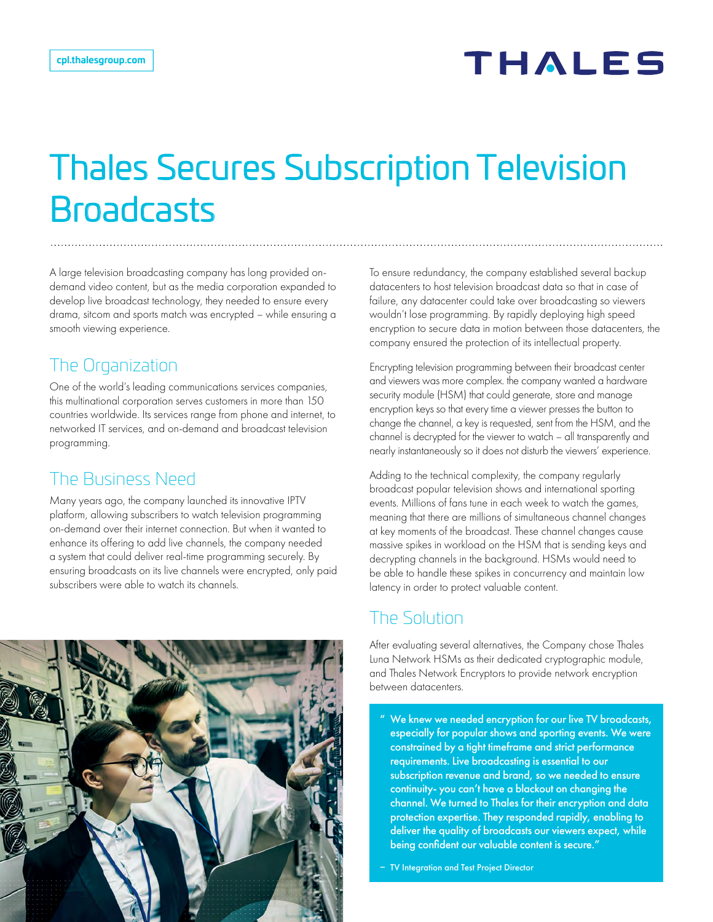## **THALES**

# Thales Secures Subscription Television **Broadcasts**

A large television broadcasting company has long provided ondemand video content, but as the media corporation expanded to develop live broadcast technology, they needed to ensure every drama, sitcom and sports match was encrypted – while ensuring a smooth viewing experience.

#### The Organization

One of the world's leading communications services companies, this multinational corporation serves customers in more than 150 countries worldwide. Its services range from phone and internet, to networked IT services, and on-demand and broadcast television programming.

### The Business Need

Many years ago, the company launched its innovative IPTV platform, allowing subscribers to watch television programming on-demand over their internet connection. But when it wanted to enhance its offering to add live channels, the company needed a system that could deliver real-time programming securely. By ensuring broadcasts on its live channels were encrypted, only paid subscribers were able to watch its channels.



To ensure redundancy, the company established several backup datacenters to host television broadcast data so that in case of failure, any datacenter could take over broadcasting so viewers wouldn't lose programming. By rapidly deploying high speed encryption to secure data in motion between those datacenters, the company ensured the protection of its intellectual property.

Encrypting television programming between their broadcast center and viewers was more complex. the company wanted a hardware security module (HSM) that could generate, store and manage encryption keys so that every time a viewer presses the button to change the channel, a key is requested, sent from the HSM, and the channel is decrypted for the viewer to watch – all transparently and nearly instantaneously so it does not disturb the viewers' experience.

Adding to the technical complexity, the company regularly broadcast popular television shows and international sporting events. Millions of fans tune in each week to watch the games, meaning that there are millions of simultaneous channel changes at key moments of the broadcast. These channel changes cause massive spikes in workload on the HSM that is sending keys and decrypting channels in the background. HSMs would need to be able to handle these spikes in concurrency and maintain low latency in order to protect valuable content.

### The Solution

After evaluating several alternatives, the Company chose Thales Luna Network HSMs as their dedicated cryptographic module, and Thales Network Encryptors to provide network encryption between datacenters.

" We knew we needed encryption for our live TV broadcasts, especially for popular shows and sporting events. We were constrained by a tight timeframe and strict performance requirements. Live broadcasting is essential to our subscription revenue and brand, so we needed to ensure continuity- you can't have a blackout on changing the channel. We turned to Thales for their encryption and data protection expertise. They responded rapidly, enabling to deliver the quality of broadcasts our viewers expect, while being confident our valuable content is secure."

– TV Integration and Test Project Director